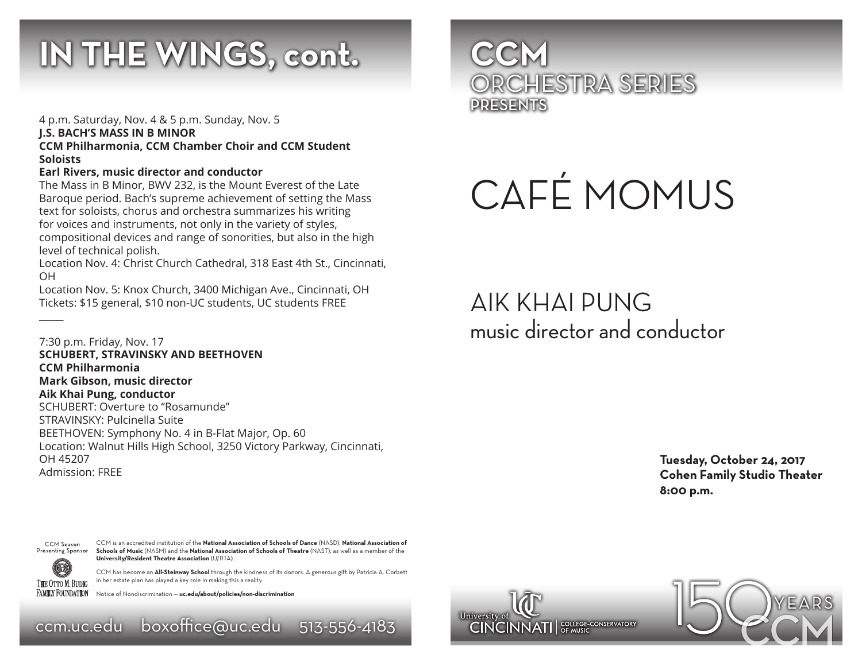## **IN THE WINGS, cont.**

4 p.m. Saturday, Nov. 4 & 5 p.m. Sunday, Nov. 5 **J.S. BACH'S MASS IN B MINOR CCM Philharmonia, CCM Chamber Choir and CCM Student Soloists**

#### **Earl Rivers, music director and conductor**

The Mass in B Minor, BWV 232, is the Mount Everest of the Late Baroque period. Bach's supreme achievement of setting the Mass text for soloists, chorus and orchestra summarizes his writing for voices and instruments, not only in the variety of styles, compositional devices and range of sonorities, but also in the high level of technical polish.

Location Nov. 4: Christ Church Cathedral, 318 East 4th St., Cincinnati, OH

Location Nov. 5: Knox Church, 3400 Michigan Ave., Cincinnati, OH Tickets: \$15 general, \$10 non-UC students, UC students FREE

7:30 p.m. Friday, Nov. 17 **SCHUBERT, STRAVINSKY AND BEETHOVEN CCM Philharmonia Mark Gibson, music director Aik Khai Pung, conductor** SCHUBERT: Overture to "Rosamunde" STRAVINSKY: Pulcinella Suite BEETHOVEN: Symphony No. 4 in B-Flat Major, Op. 60 Location: Walnut Hills High School, 3250 Victory Parkway, Cincinnati, OH 45207 Admission: FREE



THE OTTO M. BUDIG **FAMILY FOUNDATION** 

 $\overline{\phantom{a}}$ 

CCM is an accredited institution of the **National Association of Schools of Dance** (NASD), **National Association of Schools of Music** (NASM) and the **National Association of Schools of Theatre** (NAST), as well as a member of the **University/Resident Theatre Association** (U/RTA).

CCM has become an **All-Steinway School** through the kindness of its donors. A generous gift by Patricia A. Corbett in her estate plan has played a key role in making this a reality.

Notice of Nondiscrimination — **uc.edu/about/policies/non-discrimination**

ccm.uc.edu boxoffice@uc.edu 513-556-4183



# CAFÉ MOMUS

AIK KHAI PUNG music director and conductor

> **Tuesday, October 24, 2017 Cohen Family Studio Theater 8:00 p.m.**